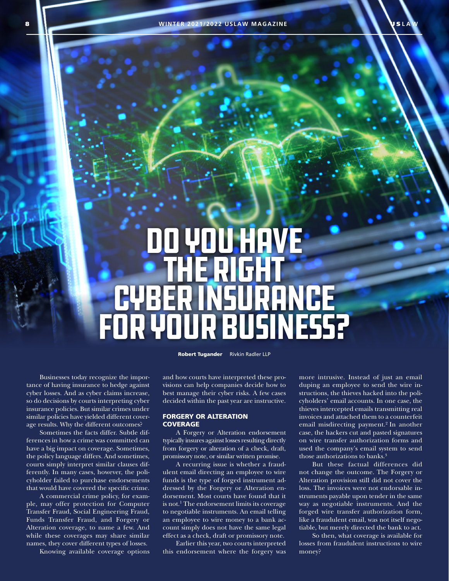# Do You Have the Right Cyber Insurance for Your Business?

Robert Tugander Rivkin Radler LLP

Businesses today recognize the importance of having insurance to hedge against cyber losses. And as cyber claims increase, so do decisions by courts interpreting cyber insurance policies. But similar crimes under similar policies have yielded different coverage results. Why the different outcomes?

Sometimes the facts differ. Subtle differences in how a crime was committed can have a big impact on coverage. Sometimes, the policy language differs. And sometimes, courts simply interpret similar clauses differently. In many cases, however, the policyholder failed to purchase endorsements that would have covered the specific crime.

A commercial crime policy, for example, may offer protection for Computer Transfer Fraud, Social Engineering Fraud, Funds Transfer Fraud, and Forgery or Alteration coverage, to name a few. And while these coverages may share similar names, they cover different types of losses.

Knowing available coverage options

and how courts have interpreted these provisions can help companies decide how to best manage their cyber risks. A few cases decided within the past year are instructive.

## FORGERY OR ALTERATION **COVERAGE**

A Forgery or Alteration endorsement typically insures against losses resulting directly from forgery or alteration of a check, draft, promissory note, or similar written promise.

A recurring issue is whether a fraudulent email directing an employee to wire funds is the type of forged instrument addressed by the Forgery or Alteration endorsement. Most courts have found that it is not.<sup>1</sup> The endorsement limits its coverage to negotiable instruments. An email telling an employee to wire money to a bank account simply does not have the same legal effect as a check, draft or promissory note.

Earlier this year, two courts interpreted this endorsement where the forgery was more intrusive. Instead of just an email duping an employee to send the wire instructions, the thieves hacked into the policyholders' email accounts. In one case, the thieves intercepted emails transmitting real invoices and attached them to a counterfeit email misdirecting payment.<sup>2</sup> In another case, the hackers cut and pasted signatures on wire transfer authorization forms and used the company's email system to send those authorizations to banks.<sup>3</sup>

But these factual differences did not change the outcome. The Forgery or Alteration provision still did not cover the loss. The invoices were not endorsable instruments payable upon tender in the same way as negotiable instruments. And the forged wire transfer authorization form, like a fraudulent email, was not itself negotiable, but merely directed the bank to act.

So then, what coverage is available for losses from fraudulent instructions to wire money?